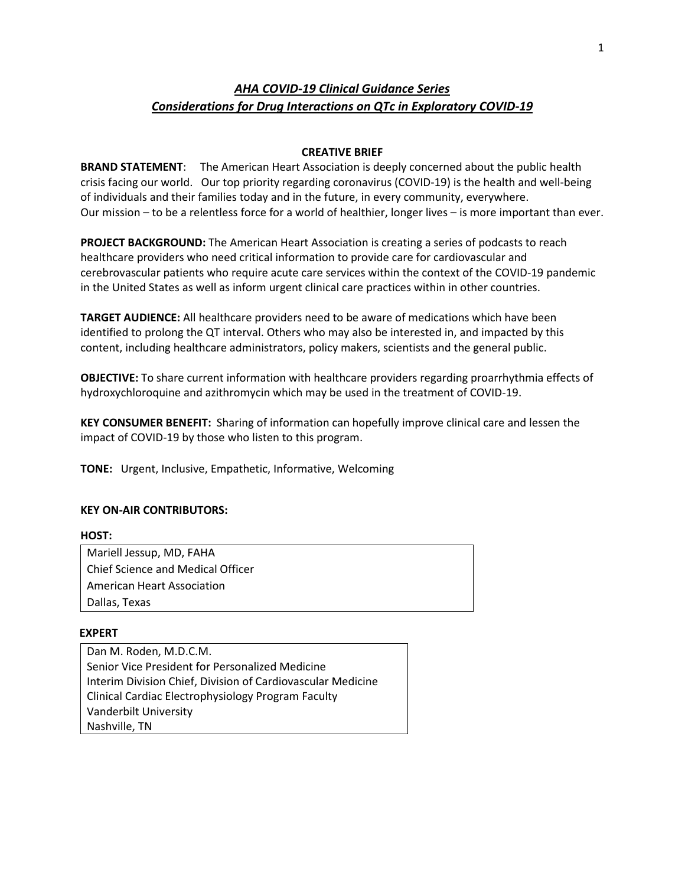# *AHA COVID-19 Clinical Guidance Series Considerations for Drug Interactions on QTc in Exploratory COVID-19*

# **CREATIVE BRIEF**

**BRAND STATEMENT**: The American Heart Association is deeply concerned about the public health crisis facing our world. Our top priority regarding coronavirus (COVID-19) is the health and well-being of individuals and their families today and in the future, in every community, everywhere. Our mission – to be a relentless force for a world of healthier, longer lives – is more important than ever.

**PROJECT BACKGROUND:** The American Heart Association is creating a series of podcasts to reach healthcare providers who need critical information to provide care for cardiovascular and cerebrovascular patients who require acute care services within the context of the COVID-19 pandemic in the United States as well as inform urgent clinical care practices within in other countries.

**TARGET AUDIENCE:** All healthcare providers need to be aware of medications which have been identified to prolong the QT interval. Others who may also be interested in, and impacted by this content, including healthcare administrators, policy makers, scientists and the general public.

**OBJECTIVE:** To share current information with healthcare providers regarding proarrhythmia effects of hydroxychloroquine and azithromycin which may be used in the treatment of COVID-19.

**KEY CONSUMER BENEFIT:** Sharing of information can hopefully improve clinical care and lessen the impact of COVID-19 by those who listen to this program.

**TONE:** Urgent, Inclusive, Empathetic, Informative, Welcoming

## **KEY ON-AIR CONTRIBUTORS:**

## **HOST:**

Mariell Jessup, MD, FAHA Chief Science and Medical Officer American Heart Association Dallas, Texas

## **EXPERT**

Dan M. Roden, M.D.C.M. Senior Vice President for Personalized Medicine Interim Division Chief, Division of Cardiovascular Medicine Clinical Cardiac Electrophysiology Program Faculty Vanderbilt University Nashville, TN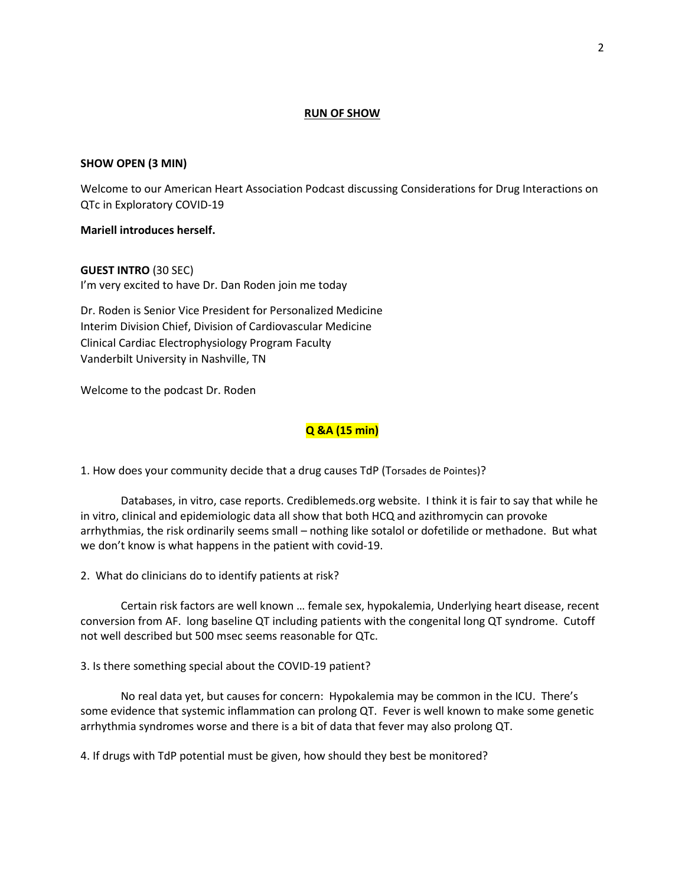#### **RUN OF SHOW**

#### **SHOW OPEN (3 MIN)**

Welcome to our American Heart Association Podcast discussing Considerations for Drug Interactions on QTc in Exploratory COVID-19

#### **Mariell introduces herself.**

**GUEST INTRO** (30 SEC) I'm very excited to have Dr. Dan Roden join me today

Dr. Roden is Senior Vice President for Personalized Medicine Interim Division Chief, Division of Cardiovascular Medicine Clinical Cardiac Electrophysiology Program Faculty Vanderbilt University in Nashville, TN

Welcome to the podcast Dr. Roden

# **Q &A (15 min)**

1. How does your community decide that a drug causes TdP (Torsades de Pointes)?

Databases, in vitro, case reports. Crediblemeds.org website. I think it is fair to say that while he in vitro, clinical and epidemiologic data all show that both HCQ and azithromycin can provoke arrhythmias, the risk ordinarily seems small – nothing like sotalol or dofetilide or methadone. But what we don't know is what happens in the patient with covid-19.

2. What do clinicians do to identify patients at risk?

Certain risk factors are well known … female sex, hypokalemia, Underlying heart disease, recent conversion from AF. long baseline QT including patients with the congenital long QT syndrome. Cutoff not well described but 500 msec seems reasonable for QTc.

3. Is there something special about the COVID-19 patient?

No real data yet, but causes for concern: Hypokalemia may be common in the ICU. There's some evidence that systemic inflammation can prolong QT. Fever is well known to make some genetic arrhythmia syndromes worse and there is a bit of data that fever may also prolong QT.

4. If drugs with TdP potential must be given, how should they best be monitored?